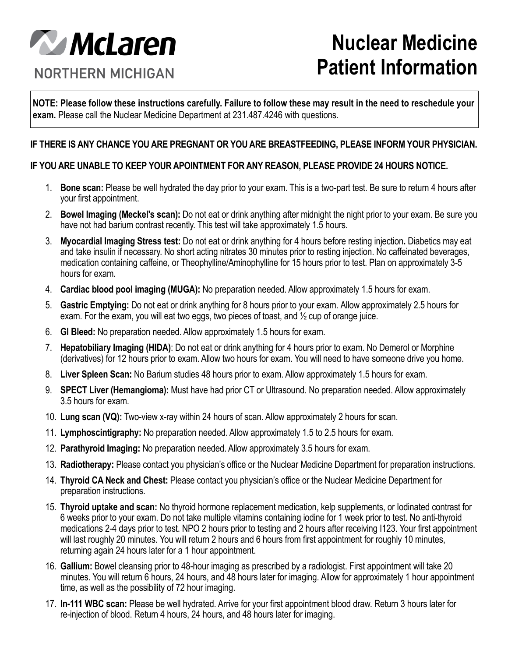

## **Nuclear Medicine Patient Information**

**NORTHERN MICHIGAN** 

**NOTE: Please follow these instructions carefully. Failure to follow these may result in the need to reschedule your exam.** Please call the Nuclear Medicine Department at 231.487.4246 with questions.

## **IF THERE IS ANY CHANCE YOU ARE PREGNANT OR YOU ARE BREASTFEEDING, PLEASE INFORM YOUR PHYSICIAN.**

## **IF YOU ARE UNABLE TO KEEP YOUR APOINTMENT FOR ANY REASON, PLEASE PROVIDE 24 HOURS NOTICE.**

- 1. **Bone scan:** Please be well hydrated the day prior to your exam. This is a two-part test. Be sure to return 4 hours after your first appointment.
- 2. **Bowel Imaging (Meckel's scan):** Do not eat or drink anything after midnight the night prior to your exam. Be sure you have not had barium contrast recently. This test will take approximately 1.5 hours.
- 3. **Myocardial Imaging Stress test:** Do not eat or drink anything for 4 hours before resting injection**.** Diabetics may eat and take insulin if necessary. No short acting nitrates 30 minutes prior to resting injection. No caffeinated beverages, medication containing caffeine, or Theophylline/Aminophylline for 15 hours prior to test. Plan on approximately 3-5 hours for exam.
- 4. **Cardiac blood pool imaging (MUGA):** No preparation needed. Allow approximately 1.5 hours for exam.
- 5. **Gastric Emptying:** Do not eat or drink anything for 8 hours prior to your exam. Allow approximately 2.5 hours for exam. For the exam, you will eat two eggs, two pieces of toast, and ½ cup of orange juice.
- 6. **GI Bleed:** No preparation needed. Allow approximately 1.5 hours for exam.
- 7. **Hepatobiliary Imaging (HIDA)**: Do not eat or drink anything for 4 hours prior to exam. No Demerol or Morphine (derivatives) for 12 hours prior to exam. Allow two hours for exam. You will need to have someone drive you home.
- 8. **Liver Spleen Scan:** No Barium studies 48 hours prior to exam. Allow approximately 1.5 hours for exam.
- 9. **SPECT Liver (Hemangioma):** Must have had prior CT or Ultrasound. No preparation needed. Allow approximately 3.5 hours for exam.
- 10. **Lung scan (VQ):** Two-view x-ray within 24 hours of scan. Allow approximately 2 hours for scan.
- 11. **Lymphoscintigraphy:** No preparation needed. Allow approximately 1.5 to 2.5 hours for exam.
- 12. **Parathyroid Imaging:** No preparation needed. Allow approximately 3.5 hours for exam.
- 13. **Radiotherapy:** Please contact you physician's office or the Nuclear Medicine Department for preparation instructions.
- 14. **Thyroid CA Neck and Chest:** Please contact you physician's office or the Nuclear Medicine Department for preparation instructions.
- 15. **Thyroid uptake and scan:** No thyroid hormone replacement medication, kelp supplements, or Iodinated contrast for 6 weeks prior to your exam. Do not take multiple vitamins containing iodine for 1 week prior to test. No anti-thyroid medications 2-4 days prior to test. NPO 2 hours prior to testing and 2 hours after receiving I123. Your first appointment will last roughly 20 minutes. You will return 2 hours and 6 hours from first appointment for roughly 10 minutes, returning again 24 hours later for a 1 hour appointment.
- 16. **Gallium:** Bowel cleansing prior to 48-hour imaging as prescribed by a radiologist. First appointment will take 20 minutes. You will return 6 hours, 24 hours, and 48 hours later for imaging. Allow for approximately 1 hour appointment time, as well as the possibility of 72 hour imaging.
- 17. **In-111 WBC scan:** Please be well hydrated. Arrive for your first appointment blood draw. Return 3 hours later for re-injection of blood. Return 4 hours, 24 hours, and 48 hours later for imaging.